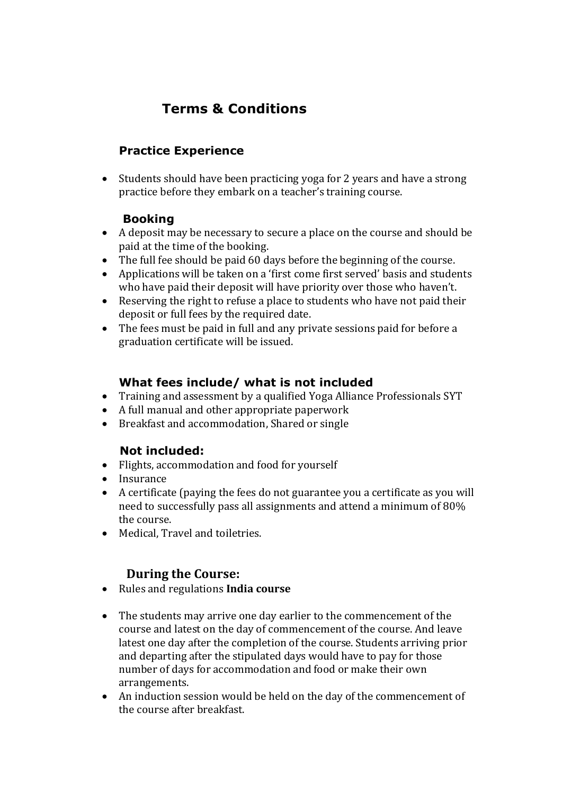# **Terms & Conditions**

# **Practice Experience**

• Students should have been practicing yoga for 2 years and have a strong practice before they embark on a teacher's training course.

## **Booking**

- A deposit may be necessary to secure a place on the course and should be paid at the time of the booking.
- The full fee should be paid 60 days before the beginning of the course.
- Applications will be taken on a 'first come first served' basis and students who have paid their deposit will have priority over those who haven't.
- Reserving the right to refuse a place to students who have not paid their deposit or full fees by the required date.
- The fees must be paid in full and any private sessions paid for before a graduation certificate will be issued.

#### **What fees include/ what is not included**

- Training and assessment by a qualified Yoga Alliance Professionals SYT
- A full manual and other appropriate paperwork
- Breakfast and accommodation, Shared or single

## **Not included:**

- Flights, accommodation and food for yourself
- Insurance
- A certificate (paying the fees do not guarantee you a certificate as you will need to successfully pass all assignments and attend a minimum of 80% the course.
- Medical, Travel and toiletries.

## **During the Course:**

- Rules and regulations **India course**
- The students may arrive one day earlier to the commencement of the course and latest on the day of commencement of the course. And leave latest one day after the completion of the course. Students arriving prior and departing after the stipulated days would have to pay for those number of days for accommodation and food or make their own arrangements.
- An induction session would be held on the day of the commencement of the course after breakfast.